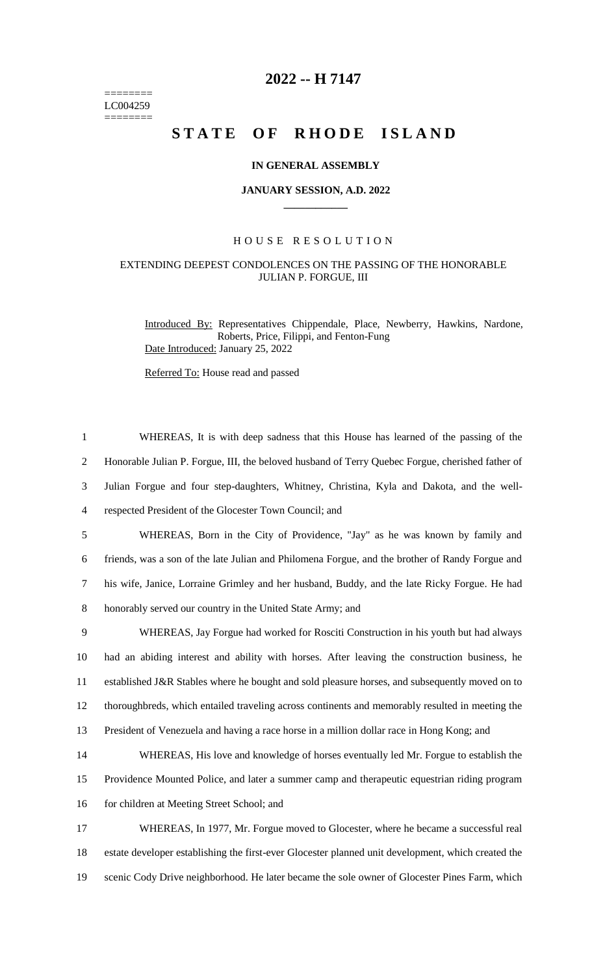======== LC004259 ========

# **2022 -- H 7147**

# **STATE OF RHODE ISLAND**

### **IN GENERAL ASSEMBLY**

#### **JANUARY SESSION, A.D. 2022 \_\_\_\_\_\_\_\_\_\_\_\_**

## H O U S E R E S O L U T I O N

# EXTENDING DEEPEST CONDOLENCES ON THE PASSING OF THE HONORABLE JULIAN P. FORGUE, III

Introduced By: Representatives Chippendale, Place, Newberry, Hawkins, Nardone, Roberts, Price, Filippi, and Fenton-Fung Date Introduced: January 25, 2022

Referred To: House read and passed

 WHEREAS, It is with deep sadness that this House has learned of the passing of the Honorable Julian P. Forgue, III, the beloved husband of Terry Quebec Forgue, cherished father of Julian Forgue and four step-daughters, Whitney, Christina, Kyla and Dakota, and the well- respected President of the Glocester Town Council; and WHEREAS, Born in the City of Providence, "Jay" as he was known by family and friends, was a son of the late Julian and Philomena Forgue, and the brother of Randy Forgue and his wife, Janice, Lorraine Grimley and her husband, Buddy, and the late Ricky Forgue. He had honorably served our country in the United State Army; and WHEREAS, Jay Forgue had worked for Rosciti Construction in his youth but had always had an abiding interest and ability with horses. After leaving the construction business, he established J&R Stables where he bought and sold pleasure horses, and subsequently moved on to thoroughbreds, which entailed traveling across continents and memorably resulted in meeting the President of Venezuela and having a race horse in a million dollar race in Hong Kong; and WHEREAS, His love and knowledge of horses eventually led Mr. Forgue to establish the Providence Mounted Police, and later a summer camp and therapeutic equestrian riding program 16 for children at Meeting Street School; and WHEREAS, In 1977, Mr. Forgue moved to Glocester, where he became a successful real estate developer establishing the first-ever Glocester planned unit development, which created the scenic Cody Drive neighborhood. He later became the sole owner of Glocester Pines Farm, which